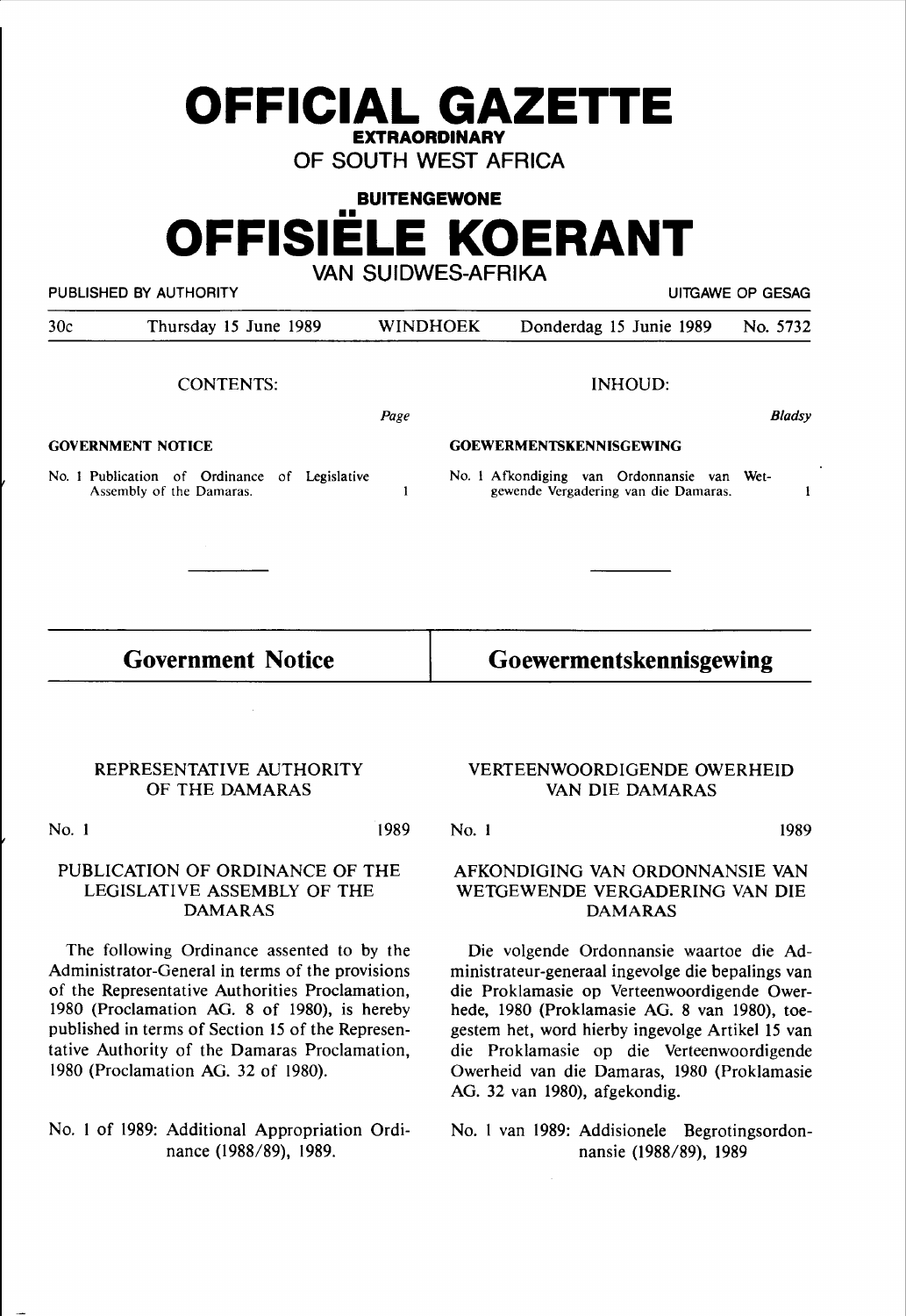## **OFFICIAL GAZETTE EXTRAORDINARY**

**OF SOUTH WEST AFRICA** 

# **BUITENGEWONE OFFISIELE KOERANT VAN SUIDWES-AFRIKA**

PUBLISHED BY AUTHORITY **EXECUTE A SECURE 2018 THE SECURE 2019 THE SECURE 2019 THE SECURE 2019 THE SECURE 2019** 

**Bladsy** 

 $\mathbf{I}$ 

| 30c | Thursday 15 June 1989 | <b>WINDHOEK</b> | Donderdag 15 Junie 1989 | No. 5732 |
|-----|-----------------------|-----------------|-------------------------|----------|
|     |                       |                 |                         |          |

Page

 $\mathbf{1}$ 

CONTENTS:

**GOVERNMENT NOTICE** 

**No. 1** Publication of Ordinance of Legislative Assembly of the Damaras.

#### **GOEWERMENTSKENNISGEWING**

No. 1 Afkondiging van Ordonnansie van Wetgewende Vergadering van die Damaras.

INHOUD:

**Government Notice** 

**Goewermentskennisgewing** 

#### REPRESENTATIVE AUTHORITY OF THE **DAMARAS**

**No. 1** 

1989

#### PUBLICATION OF ORDINANCE OF THE LEGISLATIVE ASSEMBLY OF THE **DAMARAS**

The following Ordinance assented to by the Administrator-General in terms of the provisions of the Representative Authorities Proclamation, 1980 (Proclamation AG. 8 of 1980), is hereby published in terms of Section 15 of the Representative Authority of the Damaras Proclamation, 1980 (Proclamation AG. 32 of 1980).

No. I of 1989: Additional Appropriation Ordinance (1988/89), 1989.

#### VERTEENWOORDIGENDE OWERHEID VAN DIE DAMARAS

No. 1 1989

### AFKONDIGING VAN ORDONNANSIE VAN WETGEWENDE VERGADERING VAN DIE **DAMARAS**

Die volgende Ordonnansie waartoe die Administrateur-generaal ingevolge die bepalings van die Proklamasie op Verteenwoordigende Owerhede, 1980 (Proklamasie AG. 8 van 1980), toegestem het, word hierby ingevolge Artikel 15 van die Proklamasie op die Verteenwoordigende Owerheid van die Damaras, 1980 (Proklamasie AG. 32 van 1980), afgekondig.

No. I van 1989: Addisionele Begrotingsordonnansie (1988/89), 1989